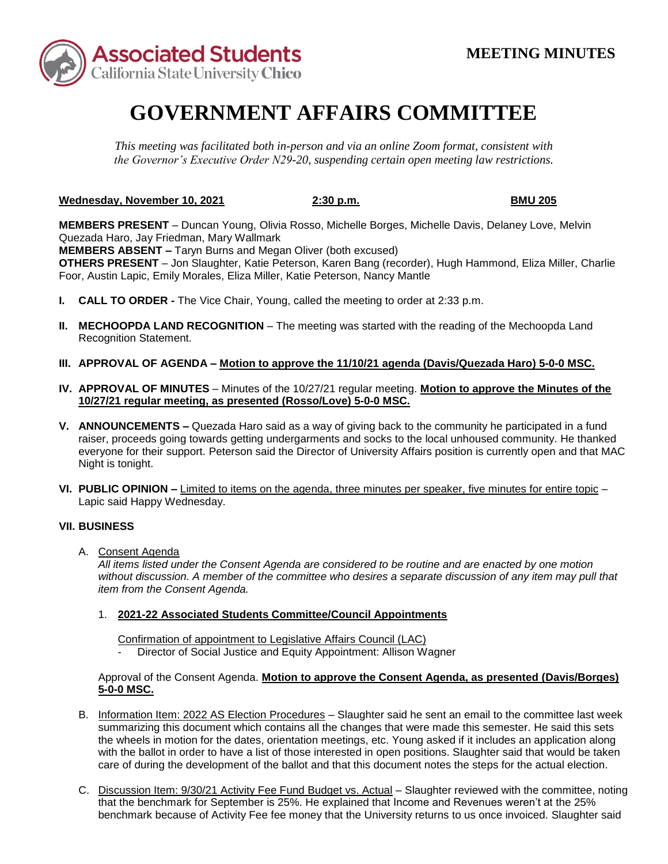

# **GOVERNMENT AFFAIRS COMMITTEE**

*This meeting was facilitated both in-person and via an online Zoom format, consistent with the Governor's Executive Order N29-20, suspending certain open meeting law restrictions.* 

**Wednesday, November 10, 2021 2:30 p.m. BMU 205** 

**MEMBERS PRESENT** – Duncan Young, Olivia Rosso, Michelle Borges, Michelle Davis, Delaney Love, Melvin Quezada Haro, Jay Friedman, Mary Wallmark

 **MEMBERS ABSENT –** Taryn Burns and Megan Oliver (both excused)

**OTHERS PRESENT** – Jon Slaughter, Katie Peterson, Karen Bang (recorder), Hugh Hammond, Eliza Miller, Charlie Foor, Austin Lapic, Emily Morales, Eliza Miller, Katie Peterson, Nancy Mantle

- **I. CALL TO ORDER -** The Vice Chair, Young, called the meeting to order at 2:33 p.m.
- **II. MECHOOPDA LAND RECOGNITION** The meeting was started with the reading of the Mechoopda Land Recognition Statement.
- **III. APPROVAL OF AGENDA – Motion to approve the 11/10/21 agenda (Davis/Quezada Haro) 5-0-0 MSC.**
- **IV. APPROVAL OF MINUTES**  Minutes of the 10/27/21 regular meeting. **Motion to approve the Minutes of the 10/27/21 regular meeting, as presented (Rosso/Love) 5-0-0 MSC.**
- **V. ANNOUNCEMENTS –** Quezada Haro said as a way of giving back to the community he participated in a fund raiser, proceeds going towards getting undergarments and socks to the local unhoused community. He thanked everyone for their support. Peterson said the Director of University Affairs position is currently open and that MAC Night is tonight.
- **VI. PUBLIC OPINION –** Limited to items on the agenda, three minutes per speaker, five minutes for entire topic Lapic said Happy Wednesday.

### **VII. BUSINESS**

A. Consent Agenda

*All items listed under the Consent Agenda are considered to be routine and are enacted by one motion without discussion. A member of the committee who desires a separate discussion of any item may pull that item from the Consent Agenda.* 

1. **2021-22 Associated Students Committee/Council Appointments** 

Confirmation of appointment to Legislative Affairs Council (LAC)

Director of Social Justice and Equity Appointment: Allison Wagner

# Approval of the Consent Agenda. Motion to approve the Consent Agenda, as presented (Davis/Borges) **5-0-0 MSC.**

- with the ballot in order to have a list of those interested in open positions. Slaughter said that would be taken B. Information Item: 2022 AS Election Procedures - Slaughter said he sent an email to the committee last week summarizing this document which contains all the changes that were made this semester. He said this sets the wheels in motion for the dates, orientation meetings, etc. Young asked if it includes an application along care of during the development of the ballot and that this document notes the steps for the actual election.
- C. Discussion Item: 9/30/21 Activity Fee Fund Budget vs. Actual Slaughter reviewed with the committee, noting that the benchmark for September is 25%. He explained that Income and Revenues weren't at the 25% benchmark because of Activity Fee fee money that the University returns to us once invoiced. Slaughter said